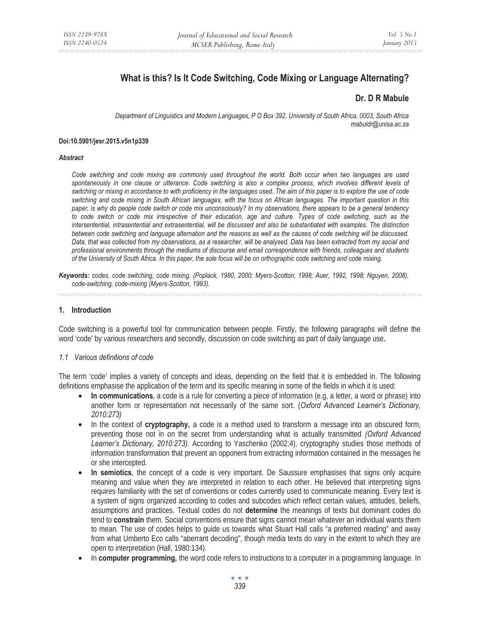# **What is this? Is It Code Switching, Code Mixing or Language Alternating?**

# **Dr. D R Mabule**

*Department of Linguistics and Modern Languages, P O Box 392, University of South Africa, 0003, South Africa mabuldr@unisa.ac.za* 

#### **Doi:10.5901/jesr.2015.v5n1p339**

#### *Abstract*

*Code switching and code mixing are commonly used throughout the world. Both occur when two languages are used spontaneously in one clause or utterance. Code switching is also a complex process, which involves different levels of switching or mixing in accordance to with proficiency in the languages used. The aim of this paper is to explore the use of code switching and code mixing in South African languages, with the focus on African languages. The important question in this paper, is why do people code switch or code mix unconsciously? In my observations, there appears to be a general tendency*  to code switch or code mix irrespective of their education, age and culture. Types of code switching, such as the *intersentential, intrasentential and extrasentential, will be discussed and also be substantiated with examples. The distinction between code switching and language alternation and the reasons as well as the causes of code switching will be discussed. Data, that was collected from my observations, as a researcher, will be analysed. Data has been extracted from my social and professional environments through the mediums of discourse and email correspondence with friends, colleagues and students of the University of South Africa. In this paper, the sole focus will be on orthographic code switching and code mixing.* 

*Keywords: codes, code switching, code mixing, (Poplack, 1980, 2000; Myers-Scotton, 1998; Auer, 1992, 1998; Nguyen, 2008), code-switching, code-mixing (Myers-Scotton, 1993).* 

#### **1. Introduction**

Code switching is a powerful tool for communication between people. Firstly, the following paragraphs will define the word 'code' by various researchers and secondly, discussion on code switching as part of daily language use**.** 

#### *1.1 Various definitions of code*

The term 'code' implies a variety of concepts and ideas, depending on the field that it is embedded in. The following definitions emphasise the application of the term and its specific meaning in some of the fields in which it is used:

- **In communications**, a code is a rule for converting a piece of information (e.g, a letter, a word or phrase) into another form or representation not necessarily of the same sort. (*Oxford Advanced Learner's Dictionary, 2010:273)*
- In the context of **cryptography**, a code is a method used to transform a message into an obscured form, preventing those not in on the secret from understanding what is actually transmitted *(Oxford Advanced Learner's Dictionary, 2010:273).* According to Yaschenko (2002:4), cryptography studies those methods of information transformation that prevent an opponent from extracting information contained in the messages he or she intercepted.
- **In semiotics**, the concept of a code is very important. De Saussure emphasises that signs only acquire meaning and value when they are interpreted in relation to each other. He believed that interpreting signs requires familiarity with the set of conventions or codes currently used to communicate meaning. Every text is a system of signs organized according to codes and subcodes which reflect certain values, attitudes, beliefs, assumptions and practices. Textual codes do not **determine** the meanings of texts but dominant codes do tend to **constrain** them. Social conventions ensure that signs cannot mean whatever an individual wants them to mean. The use of codes helps to guide us towards what Stuart Hall calls "a preferred reading" and away from what Umberto Eco calls "aberrant decoding", though media texts do vary in the extent to which they are open to interpretation (Hall, 1980:134).
- In **computer programming,** the word code refers to instructions to a computer in a programming language. In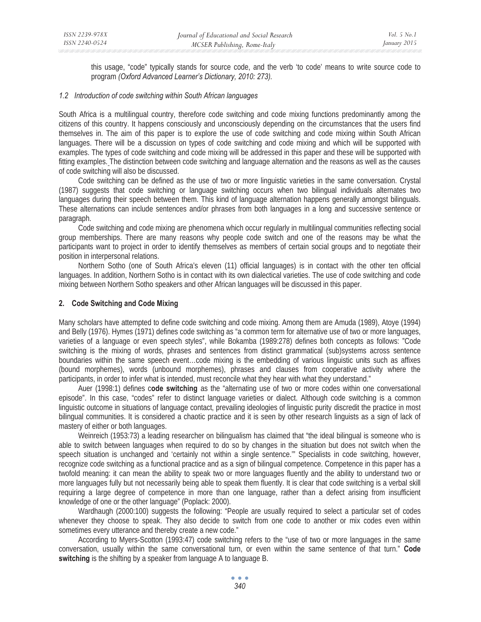this usage, "code" typically stands for source code, and the verb 'to code' means to write source code to program *(Oxford Advanced Learner's Dictionary, 2010: 273).* 

### *1.2 Introduction of code switching within South African languages*

South Africa is a multilingual country, therefore code switching and code mixing functions predominantly among the citizens of this country. It happens consciously and unconsciously depending on the circumstances that the users find themselves in. The aim of this paper is to explore the use of code switching and code mixing within South African languages. There will be a discussion on types of code switching and code mixing and which will be supported with examples. The types of code switching and code mixing will be addressed in this paper and these will be supported with fitting examples. The distinction between code switching and language alternation and the reasons as well as the causes of code switching will also be discussed.

Code switching can be defined as the use of two or more linguistic varieties in the same conversation. Crystal (1987) suggests that code switching or language switching occurs when two bilingual individuals alternates two languages during their speech between them. This kind of language alternation happens generally amongst bilinguals. These alternations can include sentences and/or phrases from both languages in a long and successive sentence or paragraph.

Code switching and code mixing are phenomena which occur regularly in multilingual communities reflecting social group memberships. There are many reasons why people code switch and one of the reasons may be what the participants want to project in order to identify themselves as members of certain social groups and to negotiate their position in interpersonal relations.

Northern Sotho (one of South Africa's eleven (11) official languages) is in contact with the other ten official languages. In addition, Northern Sotho is in contact with its own dialectical varieties. The use of code switching and code mixing between Northern Sotho speakers and other African languages will be discussed in this paper.

### **2. Code Switching and Code Mixing**

Many scholars have attempted to define code switching and code mixing. Among them are Amuda (1989), Atoye (1994) and Belly (1976). Hymes (1971) defines code switching as "a common term for alternative use of two or more languages, varieties of a language or even speech styles", while Bokamba (1989:278) defines both concepts as follows: "Code switching is the mixing of words, phrases and sentences from distinct grammatical (sub)systems across sentence boundaries within the same speech event…code mixing is the embedding of various linguistic units such as affixes (bound morphemes), words (unbound morphemes), phrases and clauses from cooperative activity where the participants, in order to infer what is intended, must reconcile what they hear with what they understand."

Auer (1998:1) defines c**ode switching** as the "alternating use of two or more codes within one conversational episode". In this case, "codes" refer to distinct language varieties or dialect. Although code switching is a common linguistic outcome in situations of language contact, prevailing ideologies of linguistic purity discredit the practice in most bilingual communities. It is considered a chaotic practice and it is seen by other research linguists as a sign of lack of mastery of either or both languages.

Weinreich (1953:73) a leading researcher on bilingualism has claimed that "the ideal bilingual is someone who is able to switch between languages when required to do so by changes in the situation but does not switch when the speech situation is unchanged and 'certainly not within a single sentence.'" Specialists in code switching, however, recognize code switching as a functional practice and as a sign of bilingual competence. Competence in this paper has a twofold meaning: it can mean the ability to speak two or more languages fluently and the ability to understand two or more languages fully but not necessarily being able to speak them fluently. It is clear that code switching is a verbal skill requiring a large degree of competence in more than one language, rather than a defect arising from insufficient knowledge of one or the other language" (Poplack: 2000).

Wardhaugh (2000:100) suggests the following: "People are usually required to select a particular set of codes whenever they choose to speak. They also decide to switch from one code to another or mix codes even within sometimes every utterance and thereby create a new code."

According to Myers-Scotton (1993:47) code switching refers to the "use of two or more languages in the same conversation, usually within the same conversational turn, or even within the same sentence of that turn." **Code switching** is the shifting by a speaker from language A to language B.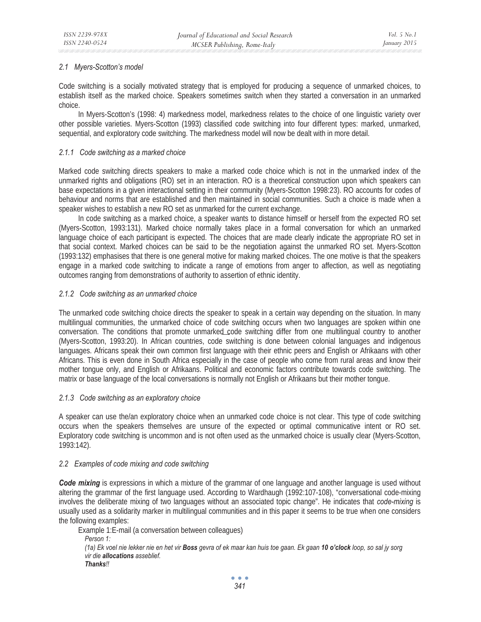# *2.1 Myers-Scotton's model*

Code switching is a socially motivated strategy that is employed for producing a sequence of unmarked choices, to establish itself as the marked choice. Speakers sometimes switch when they started a conversation in an unmarked choice.

In Myers-Scotton's (1998: 4) markedness model, markedness relates to the choice of one linguistic variety over other possible varieties. Myers-Scotton (1993) classified code switching into four different types: marked, unmarked, sequential, and exploratory code switching. The markedness model will now be dealt with in more detail.

## *2.1.1 Code switching as a marked choice*

Marked code switching directs speakers to make a marked code choice which is not in the unmarked index of the unmarked rights and obligations (RO) set in an interaction. RO is a theoretical construction upon which speakers can base expectations in a given interactional setting in their community (Myers-Scotton 1998:23). RO accounts for codes of behaviour and norms that are established and then maintained in social communities. Such a choice is made when a speaker wishes to establish a new RO set as unmarked for the current exchange.

In code switching as a marked choice, a speaker wants to distance himself or herself from the expected RO set (Myers-Scotton, 1993:131). Marked choice normally takes place in a formal conversation for which an unmarked language choice of each participant is expected. The choices that are made clearly indicate the appropriate RO set in that social context. Marked choices can be said to be the negotiation against the unmarked RO set. Myers-Scotton (1993:132) emphasises that there is one general motive for making marked choices. The one motive is that the speakers engage in a marked code switching to indicate a range of emotions from anger to affection, as well as negotiating outcomes ranging from demonstrations of authority to assertion of ethnic identity.

# *2.1.2 Code switching as an unmarked choice*

The unmarked code switching choice directs the speaker to speak in a certain way depending on the situation. In many multilingual communities, the unmarked choice of code switching occurs when two languages are spoken within one conversation. The conditions that promote unmarked code switching differ from one multilingual country to another (Myers-Scotton, 1993:20). In African countries, code switching is done between colonial languages and indigenous languages. Africans speak their own common first language with their ethnic peers and English or Afrikaans with other Africans. This is even done in South Africa especially in the case of people who come from rural areas and know their mother tongue only, and English or Afrikaans. Political and economic factors contribute towards code switching. The matrix or base language of the local conversations is normally not English or Afrikaans but their mother tongue.

### *2.1.3 Code switching as an exploratory choice*

A speaker can use the/an exploratory choice when an unmarked code choice is not clear. This type of code switching occurs when the speakers themselves are unsure of the expected or optimal communicative intent or RO set. Exploratory code switching is uncommon and is not often used as the unmarked choice is usually clear (Myers-Scotton, 1993:142).

# *2.2 Examples of code mixing and code switching*

*Code mixing* is expressions in which a mixture of the grammar of one language and another language is used without altering the grammar of the first language used. According to Wardhaugh (1992:107-108), "conversational code-mixing involves the deliberate mixing of two languages without an associated topic change". He indicates that *code-mixing* is usually used as a solidarity marker in multilingual communities and in this paper it seems to be true when one considers the following examples:

Example 1:E-mail (a conversation between colleagues) *Person 1: (1a) Ek voel nie lekker nie en het vir Boss gevra of ek maar kan huis toe gaan. Ek gaan 10 o'clock loop, so sal jy sorg vir die allocations asseblief. Thanks!!*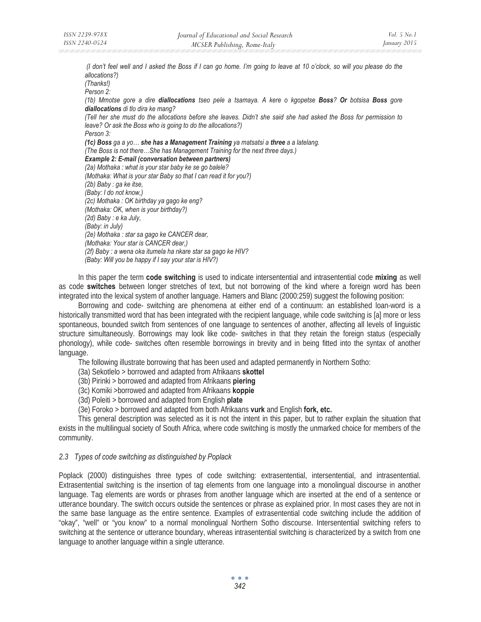*(I don't feel well and I asked the Boss if I can go home. I'm going to leave at 10 o'clock, so will you please do the allocations?) (Thanks!) Person 2: (1b) Mmotse gore a dire diallocations tseo pele a tsamaya. A kere o kgopetse Boss? Or botsisa Boss gore diallocations di tlo dira ke mang? (Tell her she must do the allocations before she leaves. Didn't she said she had asked the Boss for permission to leave? Or ask the Boss who is going to do the allocations?) Person 3: (1c) Boss ga a yo… she has a Management Training ya matsatsi a three a a latelang. (The Boss is not there…She has Management Training for the next three days.) Example 2: E-mail (conversation between partners) (2a) Mothaka : what is your star baby ke se go balele? (Mothaka: What is your star Baby so that I can read it for you?) (2b) Baby : ga ke itse, (Baby: I do not know,) (2c) Mothaka : OK birthday ya gago ke eng? (Mothaka: OK, when is your birthday?) (2d) Baby : e ka July, (Baby: in July) (2e) Mothaka : star sa gago ke CANCER dear, (Mothaka: Your star is CANCER dear,) (2f) Baby : a wena oka itumela ha nkare star sa gago ke HIV? (Baby: Will you be happy if I say your star is HIV?)* 

In this paper the term **code switching** is used to indicate intersentential and intrasentential code **mixing** as well as code **switches** between longer stretches of text, but not borrowing of the kind where a foreign word has been integrated into the lexical system of another language. Hamers and Blanc (2000:259) suggest the following position:

Borrowing and code- switching are phenomena at either end of a continuum: an established loan-word is a historically transmitted word that has been integrated with the recipient language, while code switching is [a] more or less spontaneous, bounded switch from sentences of one language to sentences of another, affecting all levels of linguistic structure simultaneously. Borrowings may look like code- switches in that they retain the foreign status (especially phonology), while code- switches often resemble borrowings in brevity and in being fitted into the syntax of another language.

The following illustrate borrowing that has been used and adapted permanently in Northern Sotho:

- (3a) Sekotlelo > borrowed and adapted from Afrikaans **skottel**
- (3b) Pirinki > borrowed and adapted from Afrikaans **piering**
- (3c) Komiki >borrowed and adapted from Afrikaans **koppie**
- (3d) Poleiti > borrowed and adapted from English **plate**
- (3e) Foroko > borrowed and adapted from both Afrikaans **vurk** and English **fork, etc.**

This general description was selected as it is not the intent in this paper, but to rather explain the situation that exists in the multilingual society of South Africa, where code switching is mostly the unmarked choice for members of the community.

#### *2.3 Types of code switching as distinguished by Poplack*

Poplack (2000) distinguishes three types of code switching: extrasentential, intersentential, and intrasentential. Extrasentential switching is the insertion of tag elements from one language into a monolingual discourse in another language. Tag elements are words or phrases from another language which are inserted at the end of a sentence or utterance boundary. The switch occurs outside the sentences or phrase as explained prior. In most cases they are not in the same base language as the entire sentence. Examples of extrasentential code switching include the addition of "okay", "well" or "you know" to a normal monolingual Northern Sotho discourse. Intersentential switching refers to switching at the sentence or utterance boundary, whereas intrasentential switching is characterized by a switch from one language to another language within a single utterance.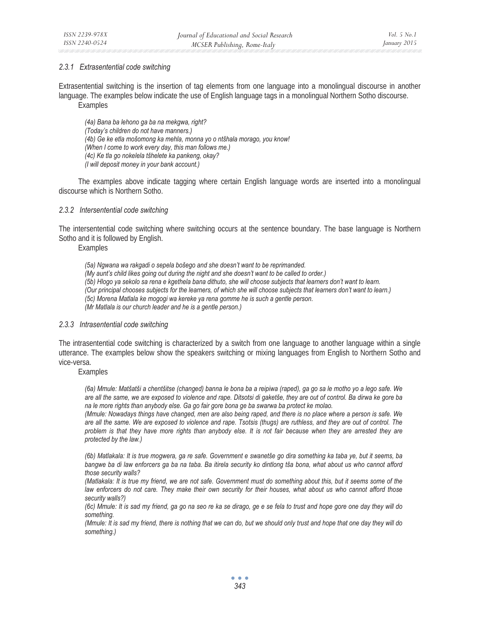### *2.3.1 Extrasentential code switching*

Extrasentential switching is the insertion of tag elements from one language into a monolingual discourse in another language. The examples below indicate the use of English language tags in a monolingual Northern Sotho discourse. **Examples** 

*(4a) Bana ba lehono ga ba na mekgwa, right? (Today's children do not have manners.) (4b) Ge ke etla mošomong ka mehla, monna yo o ntšhala morago, you know! (When I come to work every day, this man follows me.) (4c) Ke tla go nokelela tšhelete ka pankeng, okay? (I will deposit money in your bank account.)* 

The examples above indicate tagging where certain English language words are inserted into a monolingual discourse which is Northern Sotho.

#### *2.3.2 Intersentential code switching*

The intersentential code switching where switching occurs at the sentence boundary. The base language is Northern Sotho and it is followed by English.

Examples

*(5a) Ngwana wa rakgadi o sepela bošego and she doesn't want to be reprimanded. (My aunt's child likes going out during the night and she doesn't want to be called to order.) (5b) Hlogo ya sekolo sa rena e kgethela bana dithuto, she will choose subjects that learners don't want to learn. (Our principal chooses subjects for the learners, of which she will choose subjects that learners don't want to learn.) (5c) Morena Matlala ke mogogi wa kereke ya rena gomme he is such a gentle person. (Mr Matlala is our church leader and he is a gentle person.)* 

#### *2.3.3 Intrasentential code switching*

The intrasentential code switching is characterized by a switch from one language to another language within a single utterance. The examples below show the speakers switching or mixing languages from English to Northern Sotho and vice-versa.

Examples

*(6a) Mmule: Matšatši a chentšitse (changed) banna le bona ba a reipiwa (raped), ga go sa le motho yo a lego safe. We are all the same, we are exposed to violence and rape. Ditsotsi di gaketše, they are out of control. Ba dirwa ke gore ba na le more rights than anybody else. Ga go fair gore bona ge ba swarwa ba protect ke molao.* 

*(Mmule: Nowadays things have changed, men are also being raped, and there is no place where a person is safe. We are all the same. We are exposed to violence and rape. Tsotsis (thugs) are ruthless, and they are out of control. The*  problem is that they have more rights than anybody else. It is not fair because when they are arrested they are *protected by the law.)* 

*(6b) Matlakala: It is true mogwera, ga re safe. Government e swanetše go dira something ka taba ye, but it seems, ba bangwe ba di law enforcers ga ba na taba. Ba itirela security ko dintlong tša bona, what about us who cannot afford those security walls?* 

*(Matlakala: It is true my friend, we are not safe. Government must do something about this, but it seems some of the law enforcers do not care. They make their own security for their houses, what about us who cannot afford those security walls?)* 

*(6c) Mmule: It is sad my friend, ga go na seo re ka se dirago, ge e se fela to trust and hope gore one day they will do something.* 

*(Mmule: It is sad my friend, there is nothing that we can do, but we should only trust and hope that one day they will do something.)* 

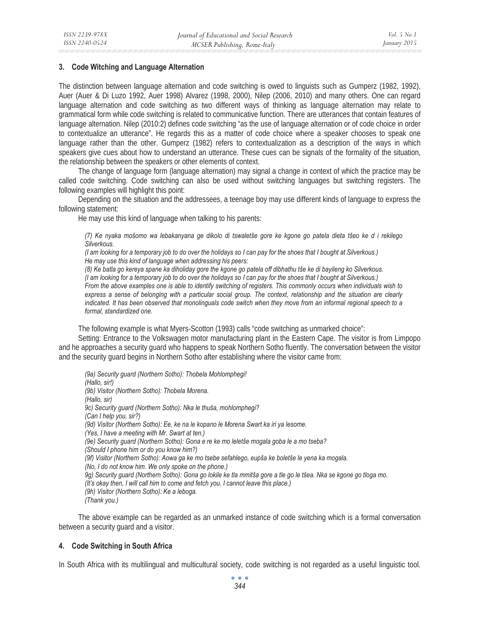### **3. Code Witching and Language Alternation**

The distinction between language alternation and code switching is owed to linguists such as Gumperz (1982, 1992), Auer (Auer & Di Luzo 1992, Auer 1998) Alvarez (1998, 2000), Nilep (2006, 2010) and many others. One can regard language alternation and code switching as two different ways of thinking as language alternation may relate to grammatical form while code switching is related to communicative function. There are utterances that contain features of language alternation. Nilep (2010:2) defines code switching "as the use of language alternation or of code choice in order to contextualize an utterance". He regards this as a matter of code choice where a speaker chooses to speak one language rather than the other. Gumperz (1982) refers to contextualization as a description of the ways in which speakers give cues about how to understand an utterance. These cues can be signals of the formality of the situation, the relationship between the speakers or other elements of context.

The change of language form (language alternation) may signal a change in context of which the practice may be called code switching. Code switching can also be used without switching languages but switching registers. The following examples will highlight this point:

Depending on the situation and the addressees, a teenage boy may use different kinds of language to express the following statement:

He may use this kind of language when talking to his parents:

*(7) Ke nyaka mošomo wa lebakanyana ge dikolo di tswaletše gore ke kgone go patela dieta tšeo ke d i rekilego Silverkous.* 

*(I am looking for a temporary job to do over the holidays so I can pay for the shoes that I bought at Silverkous.) He may use this kind of language when addressing his peers:* 

*(8) Ke batla go kereya spane ka diholiday gore the kgone go patela off dibhathu tše ke di bayileng ko Silverkous. (I am looking for a temporary job to do over the holidays so I can pay for the shoes that I bought at Silverkous.) From the above examples one is able to identify switching of registers. This commonly occurs when individuals wish to express a sense of belonging with a particular social group. The context, relationship and the situation are clearly indicated. It has been observed that monolinguals code switch when they move from an informal regional speech to a formal, standardized one.* 

The following example is what Myers-Scotton (1993) calls "code switching as unmarked choice":

Setting: Entrance to the Volkswagen motor manufacturing plant in the Eastern Cape. The visitor is from Limpopo and he approaches a security guard who happens to speak Northern Sotho fluently. The conversation between the visitor and the security guard begins in Northern Sotho after establishing where the visitor came from:

*(9a) Security guard (Northern Sotho): Thobela Mohlomphegi! (Hallo, sir!) (9b) Visitor (Northern Sotho): Thobela Morena. (Hallo, sir) 9c) Security guard (Northern Sotho): Nka le thuša, mohlomphegi? (Can I help you, sir?) (9d) Visitor (Northern Sotho): Ee, ke na le kopano le Morena Swart ka iri ya lesome. (Yes, I have a meeting with Mr. Swart at ten.) (9e) Security guard (Northern Sotho): Gona e re ke mo leletše mogala goba le a mo tseba? (Should I phone him or do you know him?) (9f) Visitor (Northern Sotho): Aowa ga ke mo tsebe sefahlego, eupša ke boletše le yena ka mogala. (No, I do not know him. We only spoke on the phone.) 9g) Security guard (Northern Sotho): Gona go lokile ke tla mmitša gore a tle go le tšea. Nka se kgone go tloga mo. (It's okay then, I will call him to come and fetch you. I cannot leave this place.) (9h) Visitor (Northern Sotho): Ke a leboga. (Thank you.)* 

The above example can be regarded as an unmarked instance of code switching which is a formal conversation between a security guard and a visitor.

### **4. Code Switching in South Africa**

In South Africa with its multilingual and multicultural society, code switching is not regarded as a useful linguistic tool.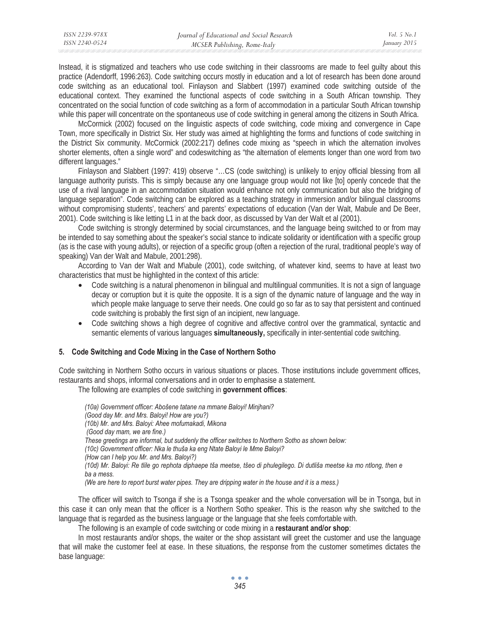Instead, it is stigmatized and teachers who use code switching in their classrooms are made to feel guilty about this practice (Adendorff, 1996:263). Code switching occurs mostly in education and a lot of research has been done around code switching as an educational tool. Finlayson and Slabbert (1997) examined code switching outside of the educational context. They examined the functional aspects of code switching in a South African township. They concentrated on the social function of code switching as a form of accommodation in a particular South African township while this paper will concentrate on the spontaneous use of code switching in general among the citizens in South Africa.

McCormick (2002) focused on the linguistic aspects of code switching, code mixing and convergence in Cape Town, more specifically in District Six. Her study was aimed at highlighting the forms and functions of code switching in the District Six community. McCormick (2002:217) defines code mixing as "speech in which the alternation involves shorter elements, often a single word" and codeswitching as "the alternation of elements longer than one word from two different languages."

Finlayson and Slabbert (1997: 419) observe "…CS (code switching) is unlikely to enjoy official blessing from all language authority purists. This is simply because any one language group would not like [to] openly concede that the use of a rival language in an accommodation situation would enhance not only communication but also the bridging of language separation". Code switching can be explored as a teaching strategy in immersion and/or bilingual classrooms without compromising students', teachers' and parents' expectations of education (Van der Walt, Mabule and De Beer, 2001). Code switching is like letting L1 in at the back door, as discussed by Van der Walt et al (2001).

Code switching is strongly determined by social circumstances, and the language being switched to or from may be intended to say something about the speaker's social stance to indicate solidarity or identification with a specific group (as is the case with young adults), or rejection of a specific group (often a rejection of the rural, traditional people's way of speaking) Van der Walt and Mabule, 2001:298).

According to Van der Walt and M\abule (2001), code switching, of whatever kind, seems to have at least two characteristics that must be highlighted in the context of this article:

- Code switching is a natural phenomenon in bilingual and multilingual communities. It is not a sign of language decay or corruption but it is quite the opposite. It is a sign of the dynamic nature of language and the way in which people make language to serve their needs. One could go so far as to say that persistent and continued code switching is probably the first sign of an incipient, new language.
- Code switching shows a high degree of cognitive and affective control over the grammatical, syntactic and semantic elements of various languages **simultaneously,** specifically in inter-sentential code switching.

### **5. Code Switching and Code Mixing in the Case of Northern Sotho**

Code switching in Northern Sotho occurs in various situations or places. Those institutions include government offices, restaurants and shops, informal conversations and in order to emphasise a statement.

The following are examples of code switching in **government offices**:

*(10a) Government officer: Abošene tatane na mmane Baloyi! Minjhani? (Good day Mr. and Mrs. Baloyi! How are you?) (10b) Mr. and Mrs. Baloyi: Ahee mofumakadi, Mikona (Good day mam, we are fine.) These greetings are informal, but suddenly the officer switches to Northern Sotho as shown below: (10c) Government officer: Nka le thuša ka eng Ntate Baloyi le Mme Baloyi? (How can I help you Mr. and Mrs. Baloyi?) (10d) Mr. Baloyi: Re tlile go rephota diphaepe tša meetse, tšeo di phulegilego. Di dutliša meetse ka mo ntlong, then e ba a mess. (We are here to report burst water pipes. They are dripping water in the house and it is a mess.)* 

The officer will switch to Tsonga if she is a Tsonga speaker and the whole conversation will be in Tsonga, but in this case it can only mean that the officer is a Northern Sotho speaker. This is the reason why she switched to the language that is regarded as the business language or the language that she feels comfortable with.

The following is an example of code switching or code mixing in a **restaurant and/or shop**:

In most restaurants and/or shops, the waiter or the shop assistant will greet the customer and use the language that will make the customer feel at ease. In these situations, the response from the customer sometimes dictates the base language: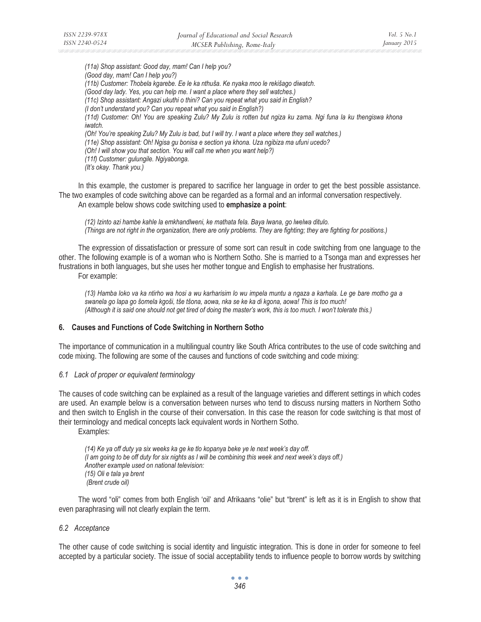*(11a) Shop assistant: Good day, mam! Can I help you? (Good day, mam! Can I help you?) (11b) Customer: Thobela kgarebe. Ee le ka nthuša. Ke nyaka moo le rekišago diwatch. (Good day lady. Yes, you can help me. I want a place where they sell watches.) (11c) Shop assistant: Angazi ukuthi o thini? Can you repeat what you said in English? (I don't understand you? Can you repeat what you said in English?) (11d) Customer: Oh! You are speaking Zulu? My Zulu is rotten but ngiza ku zama. Ngi funa la ku thengiswa khona iwatch. (Oh! You're speaking Zulu? My Zulu is bad, but I will try. I want a place where they sell watches.) (11e) Shop assistant: Oh! Ngisa gu bonisa e section ya khona. Uza ngibiza ma ufuni ucedo? (Oh! I will show you that section. You will call me when you want help?) (11f) Customer: gulungile. Ngiyabonga. (It's okay. Thank you.)* 

In this example, the customer is prepared to sacrifice her language in order to get the best possible assistance. The two examples of code switching above can be regarded as a formal and an informal conversation respectively.

An example below shows code switching used to **emphasize a point**:

*(12) Izinto azi hambe kahle la emkhandlweni, ke mathata fela. Baya lwana, go lwelwa ditulo. (Things are not right in the organization, there are only problems. They are fighting; they are fighting for positions.)* 

The expression of dissatisfaction or pressure of some sort can result in code switching from one language to the other. The following example is of a woman who is Northern Sotho. She is married to a Tsonga man and expresses her frustrations in both languages, but she uses her mother tongue and English to emphasise her frustrations.

For example:

*(13) Hamba loko va ka ntirho wa hosi a wu karharisim lo wu impela muntu a ngaza a karhala. Le ge bare motho ga a swanela go lapa go šomela kgoši, tše tšona, aowa, nka se ke ka di kgona, aowa! This is too much! (Although it is said one should not get tired of doing the master's work, this is too much. I won't tolerate this.)* 

### **6. Causes and Functions of Code Switching in Northern Sotho**

The importance of communication in a multilingual country like South Africa contributes to the use of code switching and code mixing. The following are some of the causes and functions of code switching and code mixing:

#### *6.1 Lack of proper or equivalent terminology*

The causes of code switching can be explained as a result of the language varieties and different settings in which codes are used. An example below is a conversation between nurses who tend to discuss nursing matters in Northern Sotho and then switch to English in the course of their conversation. In this case the reason for code switching is that most of their terminology and medical concepts lack equivalent words in Northern Sotho.

Examples:

*(14) Ke ya off duty ya six weeks ka ge ke tlo kopanya beke ye le next week's day off. (I am going to be off duty for six nights as I will be combining this week and next week's days off.) Another example used on national television: (15) Oli e tala ya brent (Brent crude oil)* 

The word "oli" comes from both English 'oil' and Afrikaans "olie" but "brent" is left as it is in English to show that even paraphrasing will not clearly explain the term.

#### *6.2 Acceptance*

The other cause of code switching is social identity and linguistic integration. This is done in order for someone to feel accepted by a particular society. The issue of social acceptability tends to influence people to borrow words by switching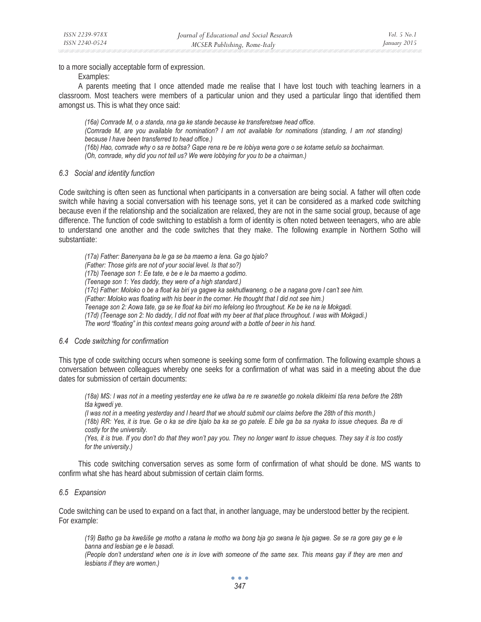to a more socially acceptable form of expression.

Examples:

A parents meeting that I once attended made me realise that I have lost touch with teaching learners in a classroom. Most teachers were members of a particular union and they used a particular lingo that identified them amongst us. This is what they once said:

*(16a) Comrade M, o a standa, nna ga ke stande because ke transferetswe head office. (Comrade M, are you available for nomination? I am not available for nominations (standing, I am not standing) because I have been transferred to head office.) (16b) Hao, comrade why o sa re botsa? Gape rena re be re lobiya wena gore o se kotame setulo sa bochairman.* 

*(Oh, comrade, why did you not tell us? We were lobbying for you to be a chairman.)* 

### *6.3 Social and identity function*

Code switching is often seen as functional when participants in a conversation are being social. A father will often code switch while having a social conversation with his teenage sons, yet it can be considered as a marked code switching because even if the relationship and the socialization are relaxed, they are not in the same social group, because of age difference. The function of code switching to establish a form of identity is often noted between teenagers, who are able to understand one another and the code switches that they make. The following example in Northern Sotho will substantiate:

*(17a) Father: Banenyana ba le ga se ba maemo a lena. Ga go bjalo? (Father: Those girls are not of your social level. Is that so?) (17b) Teenage son 1: Ee tate, e be e le ba maemo a godimo. (Teenage son 1: Yes daddy, they were of a high standard.) (17c) Father: Moloko o be a float ka biri ya gagwe ka sekhutlwaneng, o be a nagana gore I can't see him. (Father: Moloko was floating with his beer in the corner. He thought that I did not see him.) Teenage son 2: Aowa tate, ga se ke float ka biri mo lefelong leo throughout. Ke be ke na le Mokgadi. (17d) (Teenage son 2: No daddy, I did not float with my beer at that place throughout. I was with Mokgadi.) The word "floating" in this context means going around with a bottle of beer in his hand.* 

### *6.4 Code switching for confirmation*

This type of code switching occurs when someone is seeking some form of confirmation. The following example shows a conversation between colleagues whereby one seeks for a confirmation of what was said in a meeting about the due dates for submission of certain documents:

*(18a) MS: I was not in a meeting yesterday ene ke utlwa ba re re swanetše go nokela dikleimi tša rena before the 28th tša kgwedi ye.* 

*(I was not in a meeting yesterday and I heard that we should submit our claims before the 28th of this month.) (18b) RR: Yes, it is true. Ge o ka se dire bjalo ba ka se go patele. E bile ga ba sa nyaka to issue cheques. Ba re di costly for the university.* 

*(Yes, it is true. If you don't do that they won't pay you. They no longer want to issue cheques. They say it is too costly for the university.)* 

This code switching conversation serves as some form of confirmation of what should be done. MS wants to confirm what she has heard about submission of certain claim forms.

### *6.5 Expansion*

Code switching can be used to expand on a fact that, in another language, may be understood better by the recipient. For example:

*(19) Batho ga ba kwešiše ge motho a ratana le motho wa bong bja go swana le bja gagwe. Se se ra gore gay ge e le banna and lesbian ge e le basadi.* 

*(People don't understand when one is in love with someone of the same sex. This means gay if they are men and lesbians if they are women.)*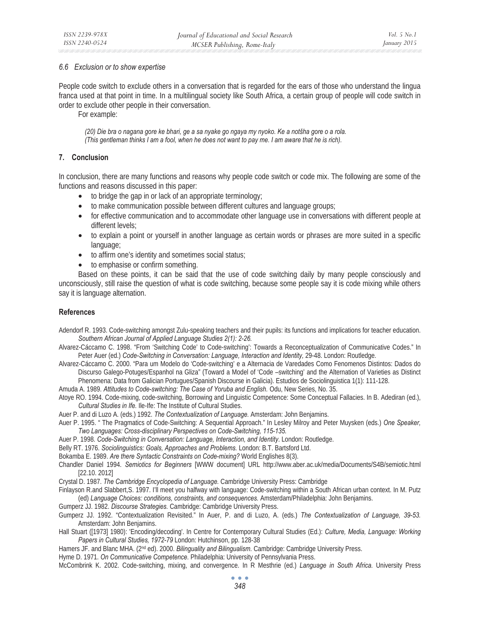### *6.6 Exclusion or to show expertise*

People code switch to exclude others in a conversation that is regarded for the ears of those who understand the lingua franca used at that point in time. In a multilingual society like South Africa, a certain group of people will code switch in order to exclude other people in their conversation.

For example:

*(20) Die bra o nagana gore ke bhari, ge a sa nyake go ngaya my nyoko. Ke a notšha gore o a rola. (This gentleman thinks I am a fool, when he does not want to pay me. I am aware that he is rich).* 

### **7. Conclusion**

In conclusion, there are many functions and reasons why people code switch or code mix. The following are some of the functions and reasons discussed in this paper:

- to bridge the gap in or lack of an appropriate terminology;
- to make communication possible between different cultures and language groups;
- for effective communication and to accommodate other language use in conversations with different people at different levels;
- to explain a point or yourself in another language as certain words or phrases are more suited in a specific language;
- to affirm one's identity and sometimes social status;
- to emphasise or confirm something.

Based on these points, it can be said that the use of code switching daily by many people consciously and unconsciously, still raise the question of what is code switching, because some people say it is code mixing while others say it is language alternation.

#### **References**

- Adendorf R. 1993. Code-switching amongst Zulu-speaking teachers and their pupils: its functions and implications for teacher education. *Southern African Journal of Applied Language Studies 2(1): 2-26.*
- Alvarez-Cáccamo C. 1998. "From 'Switching Code' to Code-switching': Towards a Reconceptualization of Communicative Codes." In Peter Auer (ed.) *Code-Switching in Conversation: Language, Interaction and Identity, 29-48. London: Routledge.*
- Alvarez-Cáccamo C. 2000. "Para um Modelo do 'Code-switching' e a Alternacia de Varedades Como Fenomenos Distintos: Dados do Discurso Galego-Potuges/Espanhol na Gliza" (Toward a Model of 'Code –switching' and the Alternation of Varieties as Distinct Phenomena: Data from Galician Portugues/Spanish Discourse in Galicia). Estudios de Sociolinguistica 1(1): 111-128.

Amuda A. 1989. *Attitudes to Code-switching: The Case of Yoruba and English.* Odu, New Series, No. 35.

- Atoye RO. 1994. Code-mixing, code-switching, Borrowing and Linguistic Competence: Some Conceptual Fallacies. In B. Adediran (ed.), *Cultural Studies in Ife.* Ile-Ife: The Institute of Cultural Studies.
- Auer P. and di Luzo A. (eds.) 1992. *The Contextualization of Language.* Amsterdam: John Benjamins.
- Auer P. 1995. " The Pragmatics of Code-Switching: A Sequential Approach." In Lesley Milroy and Peter Muysken (eds.) *One Speaker, Two Languages: Cross-disciplinary Perspectives on Code-Switching, 115-135.*
- Auer P. 1998*. Code-Switching in Conversation: Language, Interaction, and Identity*. London: Routledge.
- Belly RT. 1976. *Sociolinguistics: Goals, Approaches and Problems.* London: B.T. Bartsford Ltd.
- Bokamba E. 1989. *Are there Syntactic Constraints on Code-mixing?* World Englishes 8(3).
- Chandler Daniel 1994. *Semiotics for Beginners* [WWW document] URL http://www.aber.ac.uk/media/Documents/S4B/semiotic.html [22.10. 2012]
- Crystal D. 1987. *The Cambridge Encyclopedia of Language.* Cambridge University Press: Cambridge
- Finlayson R.and Slabbert,S. 1997. I'll meet you halfway with language: Code-switching within a South African urban context. In M. Putz (ed) *Language Choices: conditions, constraints, and consequences.* Amsterdam/Philadelphia: John Benjamins.
- Gumperz JJ. 1982. *Discourse Strategies.* Cambridge: Cambridge University Press.

Gumperz JJ. 1992. "Contextualization Revisited." In Auer, P. and di Luzo, A. (eds.) *The Contextualization of Language, 39-53.*  Amsterdam: John Benjamins.

- Hall Stuart ([1973] 1980): 'Encoding/decoding'. In Centre for Contemporary Cultural Studies (Ed.): *Culture, Media, Language: Working Papers in Cultural Studies, 1972-79* London: Hutchinson, pp. 128-38
- Hamers JF. and Blanc MHA. (2<sup>nd</sup> ed). 2000. *Bilinguality and Bilingualism.* Cambridge: Cambridge University Press.
- Hyme D. 1971. *On Communicative Competence.* Philadelphia: University of Pennsylvania Press.

McCombrink K. 2002. Code-switching, mixing, and convergence. In R Mesthrie (ed.) *Language in South Africa.* University Press